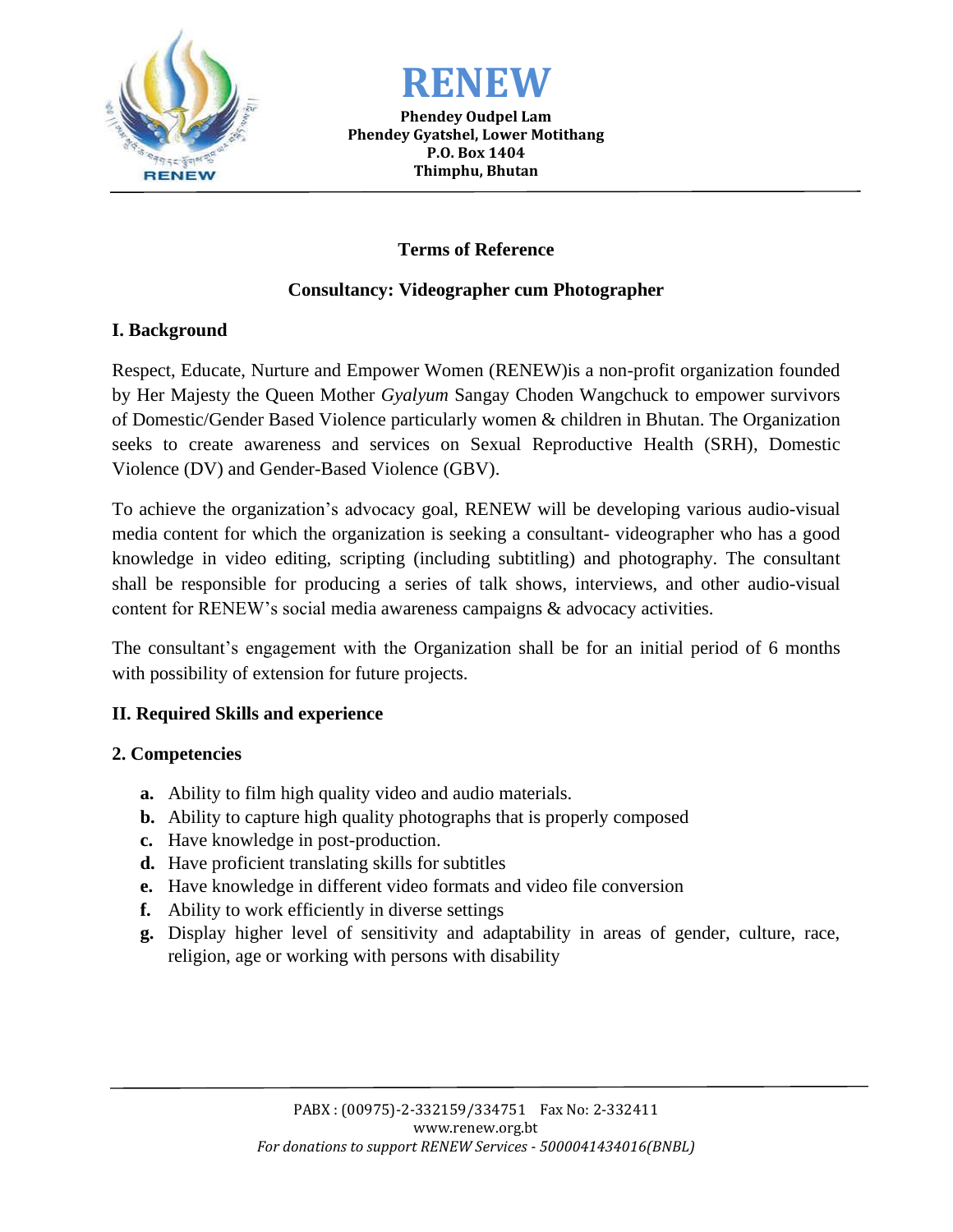



**Phendey Oudpel Lam Phendey Gyatshel, Lower Motithang P.O. Box 1404 Thimphu, Bhutan**

# **Terms of Reference**

# **Consultancy: Videographer cum Photographer**

## **I. Background**

Respect, Educate, Nurture and Empower Women (RENEW)is a non-profit organization founded by Her Majesty the Queen Mother *Gyalyum* Sangay Choden Wangchuck to empower survivors of Domestic/Gender Based Violence particularly women & children in Bhutan. The Organization seeks to create awareness and services on Sexual Reproductive Health (SRH), Domestic Violence (DV) and Gender-Based Violence (GBV).

To achieve the organization's advocacy goal, RENEW will be developing various audio-visual media content for which the organization is seeking a consultant- videographer who has a good knowledge in video editing, scripting (including subtitling) and photography. The consultant shall be responsible for producing a series of talk shows, interviews, and other audio-visual content for RENEW's social media awareness campaigns & advocacy activities.

The consultant's engagement with the Organization shall be for an initial period of 6 months with possibility of extension for future projects.

# **II. Required Skills and experience**

## **2. Competencies**

- **a.** Ability to film high quality video and audio materials.
- **b.** Ability to capture high quality photographs that is properly composed
- **c.** Have knowledge in post-production.
- **d.** Have proficient translating skills for subtitles
- **e.** Have knowledge in different video formats and video file conversion
- **f.** Ability to work efficiently in diverse settings
- **g.** Display higher level of sensitivity and adaptability in areas of gender, culture, race, religion, age or working with persons with disability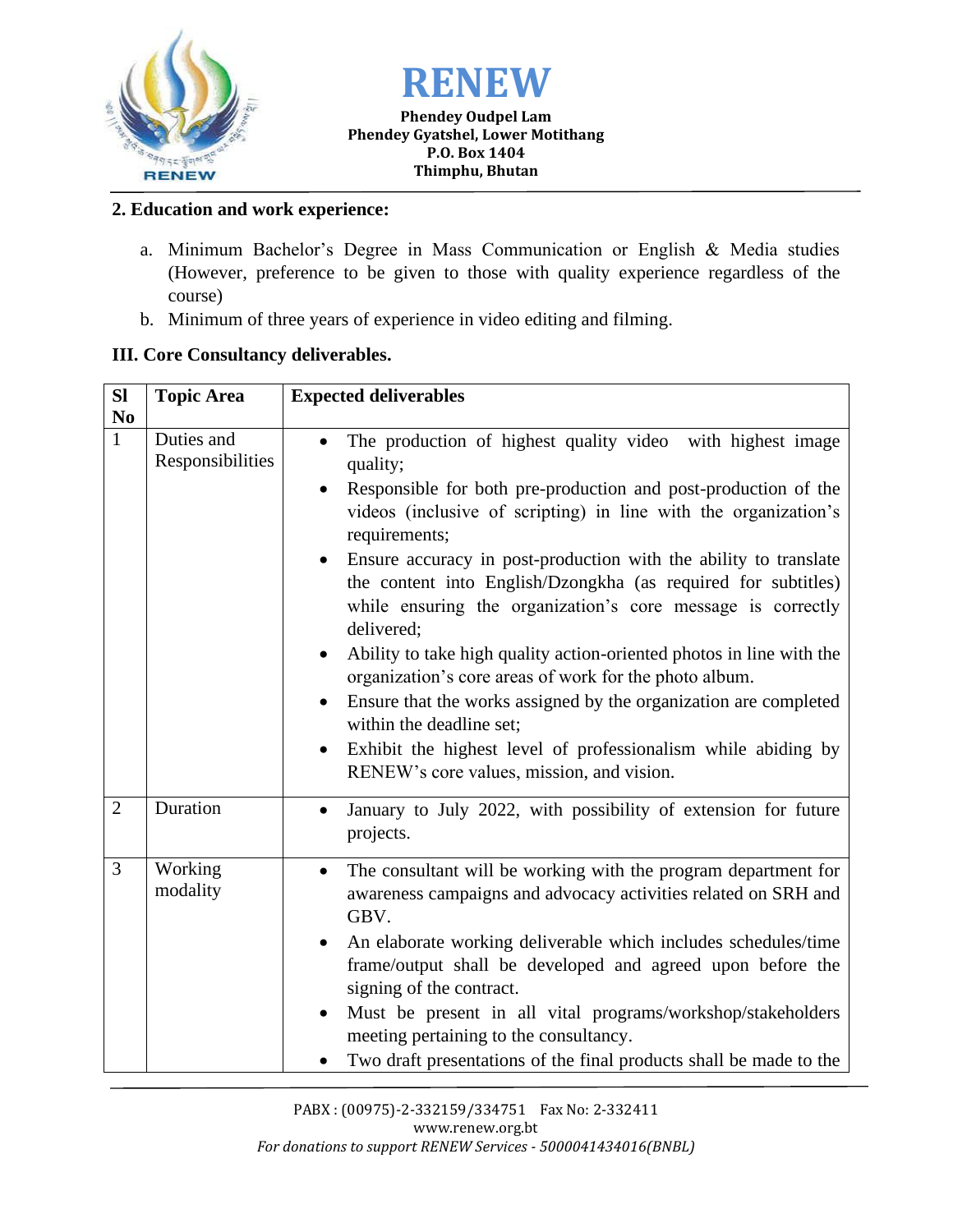



#### **Phendey Oudpel Lam Phendey Gyatshel, Lower Motithang P.O. Box 1404 Thimphu, Bhutan**

## **2. Education and work experience:**

- a. Minimum Bachelor's Degree in Mass Communication or English & Media studies (However, preference to be given to those with quality experience regardless of the course)
- b. Minimum of three years of experience in video editing and filming.

## **III. Core Consultancy deliverables.**

| <b>Sl</b>      | <b>Topic Area</b>              | <b>Expected deliverables</b>                                                                                                                                                                                                                                                                                                                                                                                                                                                                                                                                                                                                                                                                                                                                                                                |
|----------------|--------------------------------|-------------------------------------------------------------------------------------------------------------------------------------------------------------------------------------------------------------------------------------------------------------------------------------------------------------------------------------------------------------------------------------------------------------------------------------------------------------------------------------------------------------------------------------------------------------------------------------------------------------------------------------------------------------------------------------------------------------------------------------------------------------------------------------------------------------|
| N <sub>0</sub> |                                |                                                                                                                                                                                                                                                                                                                                                                                                                                                                                                                                                                                                                                                                                                                                                                                                             |
| $\mathbf{1}$   | Duties and<br>Responsibilities | The production of highest quality video with highest image<br>quality;<br>Responsible for both pre-production and post-production of the<br>videos (inclusive of scripting) in line with the organization's<br>requirements;<br>Ensure accuracy in post-production with the ability to translate<br>the content into English/Dzongkha (as required for subtitles)<br>while ensuring the organization's core message is correctly<br>delivered;<br>Ability to take high quality action-oriented photos in line with the<br>organization's core areas of work for the photo album.<br>Ensure that the works assigned by the organization are completed<br>within the deadline set;<br>Exhibit the highest level of professionalism while abiding by<br>$\bullet$<br>RENEW's core values, mission, and vision. |
| $\overline{2}$ | Duration                       | January to July 2022, with possibility of extension for future<br>$\bullet$<br>projects.                                                                                                                                                                                                                                                                                                                                                                                                                                                                                                                                                                                                                                                                                                                    |
| $\overline{3}$ | Working<br>modality            | The consultant will be working with the program department for<br>$\bullet$<br>awareness campaigns and advocacy activities related on SRH and<br>GBV.<br>An elaborate working deliverable which includes schedules/time<br>frame/output shall be developed and agreed upon before the<br>signing of the contract.<br>Must be present in all vital programs/workshop/stakeholders<br>$\bullet$<br>meeting pertaining to the consultancy.<br>Two draft presentations of the final products shall be made to the                                                                                                                                                                                                                                                                                               |